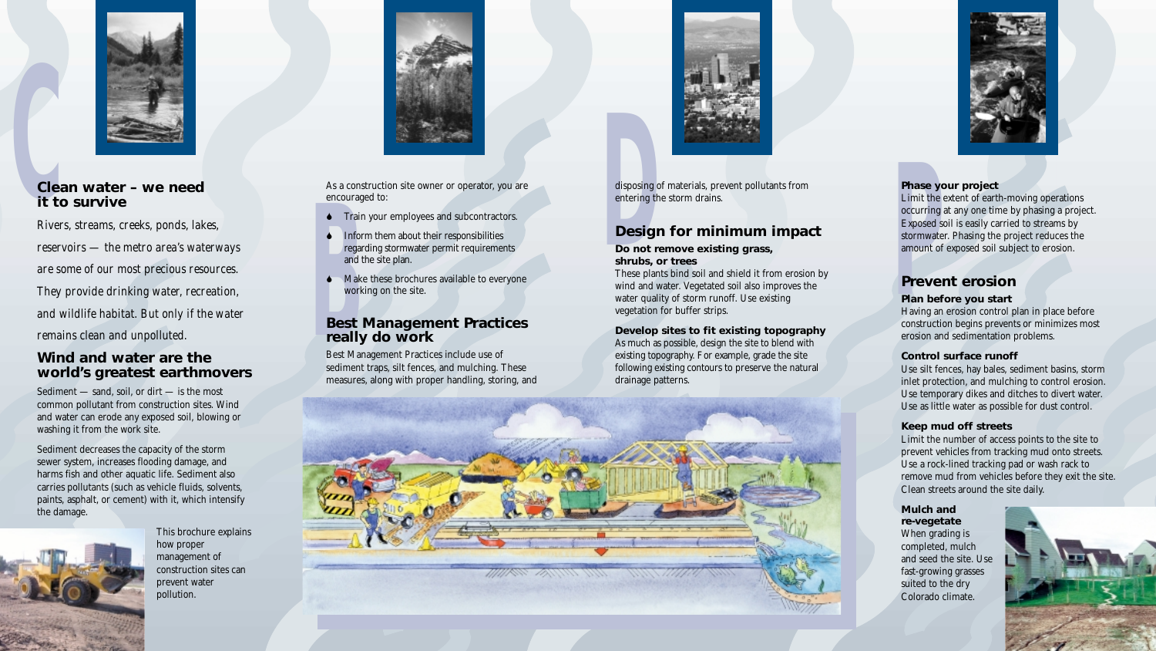

## **Cle**<br>it t **it to survive**

**Prices it to survive**<br> **Prices it to survive**<br> **Prices it to survive**<br> **Prices it is a construction site owner or operator, you are<br>
<b>Prices** entering the storm drains.<br> **Prices entering the storm drains.**<br> **Prices inform** *Rivers, streams, creeks, ponds, lakes, reservoirs — the metro area's waterways are some of our most precious resources. They provide drinking water, recreation, and wildlife habitat. But only if the water remains clean and unpolluted.* 

## **Wind and water are the world's greatest earthmovers**

Sediment — sand, soil, or dirt — is the most common pollutant from construction sites. Wind and water can erode any exposed soil, blowing or washing it from the work site.

Sediment decreases the capacity of the storm sewer system, increases flooding damage, and harms fish and other aquatic life. Sediment also carries pollutants (such as vehicle fluids, solvents, paints, asphalt, or cement) with it, which intensify the damage.



This brochure explains how proper management of construction sites can prevent water pollution.



disposing of materials, prevent pollutants from entering the storm drains.

## **Design for minimum impact**

**Do not remove existing grass, shrubs, or trees**

These plants bind soil and shield it from erosion by wind and water. Vegetated soil also improves the water quality of storm runoff. Use existing vegetation for buffer strips.

**Develop sites to fit existing topography** As much as possible, design the site to blend with existing topography. For example, grade the site following existing contours to preserve the natural drainage patterns.





- $\bullet$  Train your employees and subcontractors.
- Inform them about their responsibilities regarding stormwater permit requirements and the site plan.
- $\blacklozenge$  Make these brochures available to everyone working on the site.

## **Example**<br> **Best**<br> **Rest**<br> **reall Best Management Practices really do work**

#### **Phase your project**

Limit the extent of earth-moving operations occurring at any one time by phasing a project. Exposed soil is easily carried to streams by stormwater. Phasing the project reduces the amount of exposed soil subject to erosion.

## **Prevent erosion**

#### **Plan before you start**

Having an erosion control plan in place before construction begins prevents or minimizes most erosion and sedimentation problems.

#### **Control surface runoff**

Use silt fences, hay bales, sediment basins, storm inlet protection, and mulching to control erosion. Use temporary dikes and ditches to divert water. Use as little water as possible for dust control.

#### **Keep mud off streets**

Limit the number of access points to the site to prevent vehicles from tracking mud onto streets. Use a rock-lined tracking pad or wash rack to remove mud from vehicles before they exit the site. Clean streets around the site daily.

#### **Mulch and re-vegetate**

When grading is completed, mulch and seed the site. Use fast-growing grasses suited to the dry Colorado climate.



As a construction site owner or operator, you are encouraged to:

Best Management Practices include use of sediment traps, silt fences, and mulching. These measures, along with proper handling, storing, and